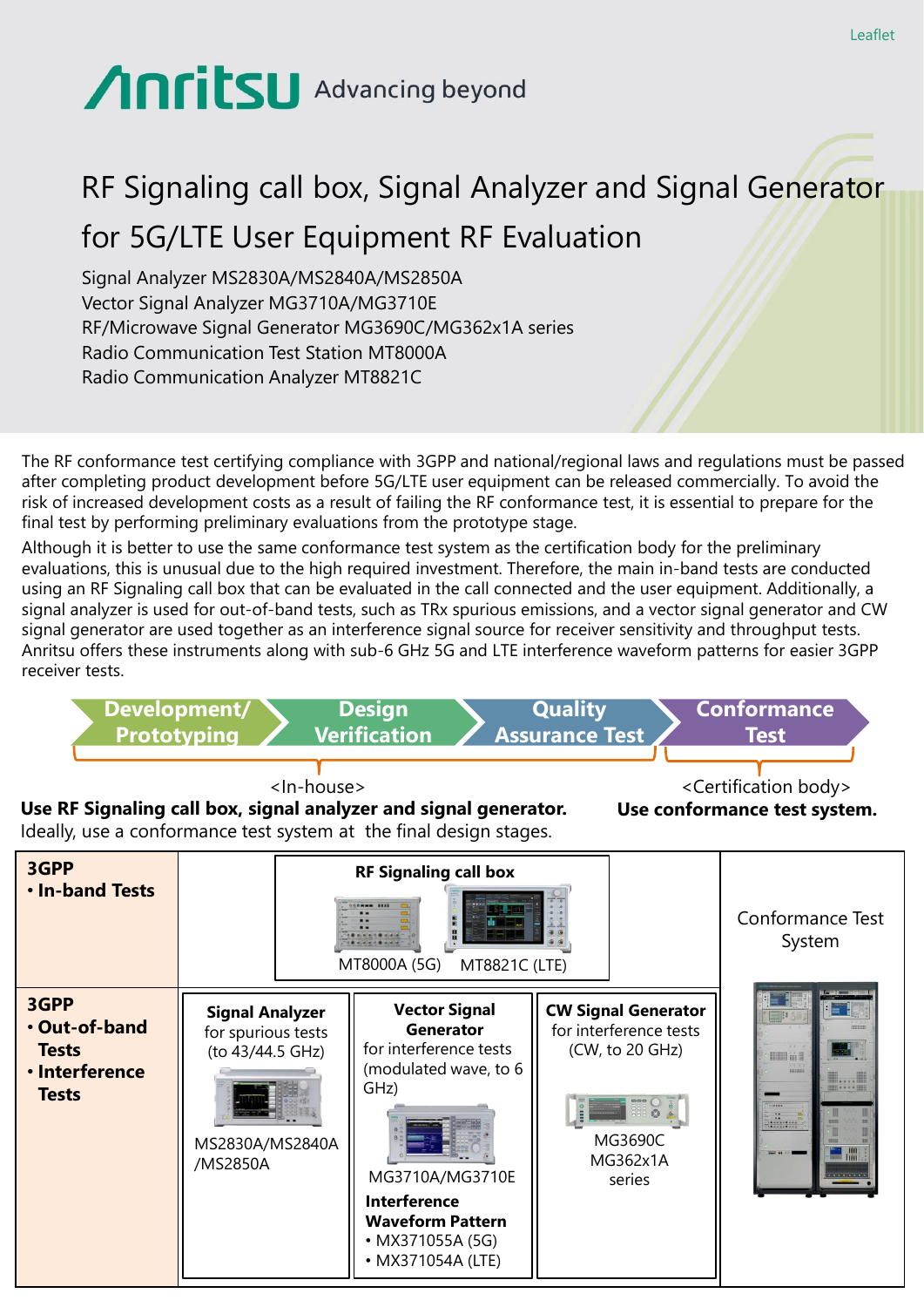## Anritsu Advancing beyond

## RF Signaling call box, Signal Analyzer and Signal Generator for 5G/LTE User Equipment RF Evaluation

Signal Analyzer MS2830A/MS2840A/MS2850A Vector Signal Analyzer MG3710A/MG3710E RF/Microwave Signal Generator MG3690C/MG362x1A series Radio Communication Test Station MT8000A Radio Communication Analyzer MT8821C

The RF conformance test certifying compliance with 3GPP and national/regional laws and regulations must be passed after completing product development before 5G/LTE user equipment can be released commercially. To avoid the risk of increased development costs as a result of failing the RF conformance test, it is essential to prepare for the final test by performing preliminary evaluations from the prototype stage.

Although it is better to use the same conformance test system as the certification body for the preliminary evaluations, this is unusual due to the high required investment. Therefore, the main in-band tests are conducted using an RF Signaling call box that can be evaluated in the call connected and the user equipment. Additionally, a signal analyzer is used for out-of-band tests, such as TRx spurious emissions, and a vector signal generator and CW signal generator are used together as an interference signal source for receiver sensitivity and throughput tests. Anritsu offers these instruments along with sub-6 GHz 5G and LTE interference waveform patterns for easier 3GPP receiver tests.